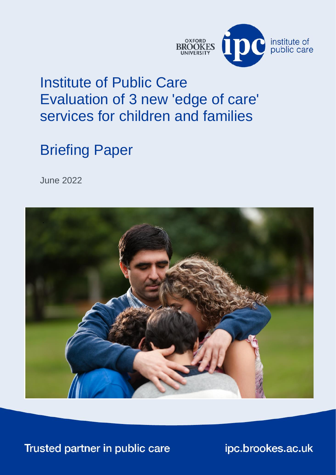

## <span id="page-0-2"></span><span id="page-0-0"></span>Institute of Public Care Evaluation of 3 new 'edge of care' services for children and families

# Briefing Paper

<span id="page-0-1"></span>June 2022



Trusted partner in public care

ipc.brookes.ac.uk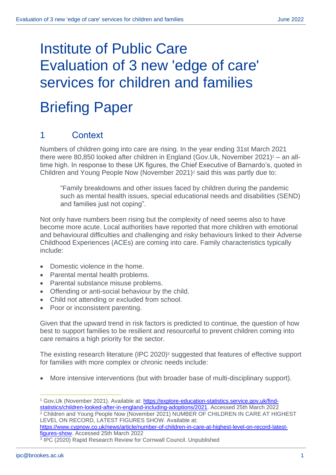# [Institute of Public Care](#page-0-2) [Evaluation of 3 new 'edge of care'](#page-0-0)  [services](#page-0-0) for children and families Briefing Paper

## 1 Context

Numbers of children going into care are rising. In the year ending 31st March 2021 there were 80,850 looked after children in England (Gov.Uk, November 2021) $1 -$  an alltime high. In response to these UK figures, the Chief Executive of Barnardo's, quoted in Children and Young People Now (November 2021)<sup>2</sup> said this was partly due to:

"Family breakdowns and other issues faced by children during the pandemic such as mental health issues, special educational needs and disabilities (SEND) and families just not coping".

Not only have numbers been rising but the complexity of need seems also to have become more acute. Local authorities have reported that more children with emotional and behavioural difficulties and challenging and risky behaviours linked to their Adverse Childhood Experiences (ACEs) are coming into care. Family characteristics typically include:

- Domestic violence in the home.
- Parental mental health problems.
- Parental substance misuse problems.
- Offending or anti-social behaviour by the child.
- Child not attending or excluded from school.
- Poor or inconsistent parenting.

Given that the upward trend in risk factors is predicted to continue, the question of how best to support families to be resilient and resourceful to prevent children coming into care remains a high priority for the sector.

The existing research literature (IPC 2020)<sup>3</sup> suggested that features of effective support for families with more complex or chronic needs include:

• More intensive interventions (but with broader base of multi-disciplinary support).

[https://www.cypnow.co.uk/news/article/number-of-children-in-care-at-highest-level-on-record-latest](https://www.cypnow.co.uk/news/article/number-of-children-in-care-at-highest-level-on-record-latest-figures-show)[figures-show.](https://www.cypnow.co.uk/news/article/number-of-children-in-care-at-highest-level-on-record-latest-figures-show) Accessed 25th March 2022

<sup>1</sup> Gov,Uk (November 2021). Available at: [https://explore-education-statistics.service.gov.uk/find](https://explore-education-statistics.service.gov.uk/find-statistics/children-looked-after-in-england-including-adoptions/2021)[statistics/children-looked-after-in-england-including-adoptions/2021.](https://explore-education-statistics.service.gov.uk/find-statistics/children-looked-after-in-england-including-adoptions/2021) Accessed 25th March 2022 <sup>2</sup> Children and Young People Now (November 2021) NUMBER OF CHILDREN IN CARE AT HIGHEST LEVEL ON RECORD, LATEST FIGURES SHOW. Available at:

<sup>3</sup> IPC (2020) Rapid Research Review for Cornwall Council. Unpublished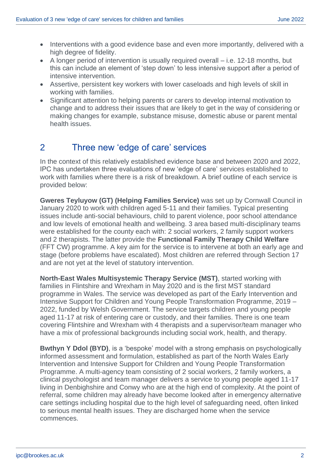- Interventions with a good evidence base and even more importantly, delivered with a high degree of fidelity.
- A longer period of intervention is usually required overall i.e. 12-18 months, but this can include an element of 'step down' to less intensive support after a period of intensive intervention.
- Assertive, persistent key workers with lower caseloads and high levels of skill in working with families.
- Significant attention to helping parents or carers to develop internal motivation to change and to address their issues that are likely to get in the way of considering or making changes for example, substance misuse, domestic abuse or parent mental health issues.

### 2 Three new 'edge of care' services

In the context of this relatively established evidence base and between 2020 and 2022, IPC has undertaken three evaluations of new 'edge of care' services established to work with families where there is a risk of breakdown. A brief outline of each service is provided below:

**Gweres Teyluyow (GT) (Helping Families Service)** was set up by Cornwall Council in January 2020 to work with children aged 5-11 and their families. Typical presenting issues include anti-social behaviours, child to parent violence, poor school attendance and low levels of emotional health and wellbeing. 3 area based multi-disciplinary teams were established for the county each with: 2 social workers, 2 family support workers and 2 therapists. The latter provide the **Functional Family Therapy Child Welfare** (FFT CW) programme. A key aim for the service is to intervene at both an early age and stage (before problems have escalated). Most children are referred through Section 17 and are not yet at the level of statutory intervention.

**North-East Wales Multisystemic Therapy Service (MST)**, started working with families in Flintshire and Wrexham in May 2020 and is the first MST standard programme in Wales. The service was developed as part of the Early Intervention and Intensive Support for Children and Young People Transformation Programme, 2019 – 2022, funded by Welsh Government. The service targets children and young people aged 11-17 at risk of entering care or custody, and their families. There is one team covering Flintshire and Wrexham with 4 therapists and a supervisor/team manager who have a mix of professional backgrounds including social work, health, and therapy.

**Bwthyn Y Ddol (BYD)**, is a 'bespoke' model with a strong emphasis on psychologically informed assessment and formulation, established as part of the North Wales Early Intervention and Intensive Support for Children and Young People Transformation Programme. A multi-agency team consisting of 2 social workers, 2 family workers, a clinical psychologist and team manager delivers a service to young people aged 11-17 living in Denbighshire and Conwy who are at the high end of complexity. At the point of referral, some children may already have become looked after in emergency alternative care settings including hospital due to the high level of safeguarding need, often linked to serious mental health issues. They are discharged home when the service commences.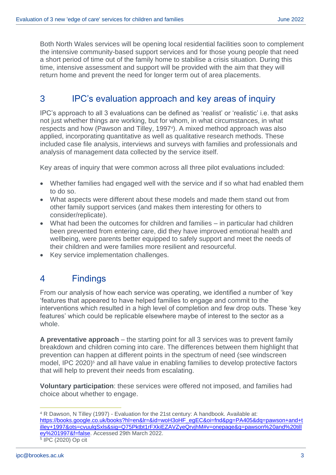Both North Wales services will be opening local residential facilities soon to complement the intensive community-based support services and for those young people that need a short period of time out of the family home to stabilise a crisis situation. During this time, intensive assessment and support will be provided with the aim that they will return home and prevent the need for longer term out of area placements.

## 3 IPC's evaluation approach and key areas of inquiry

IPC's approach to all 3 evaluations can be defined as 'realist' or 'realistic' i.e. that asks not just whether things are working, but for whom, in what circumstances, in what respects and how (Pawson and Tilley, 1997<sup>4</sup>). A mixed method approach was also applied, incorporating quantitative as well as qualitative research methods. These included case file analysis, interviews and surveys with families and professionals and analysis of management data collected by the service itself.

Key areas of inquiry that were common across all three pilot evaluations included:

- Whether families had engaged well with the service and if so what had enabled them to do so.
- What aspects were different about these models and made them stand out from other family support services (and makes them interesting for others to consider/replicate).
- What had been the outcomes for children and families in particular had children been prevented from entering care, did they have improved emotional health and wellbeing, were parents better equipped to safely support and meet the needs of their children and were families more resilient and resourceful.
- Key service implementation challenges.

#### 4 Findings

From our analysis of how each service was operating, we identified a number of 'key 'features that appeared to have helped families to engage and commit to the interventions which resulted in a high level of completion and few drop outs. These 'key features' which could be replicable elsewhere maybe of interest to the sector as a whole.

**A preventative approach** – the starting point for all 3 services was to prevent family breakdown and children coming into care. The differences between them highlight that prevention can happen at different points in the spectrum of need (see windscreen model, IPC 2020)<sup>5</sup> and all have value in enabling families to develop protective factors that will help to prevent their needs from escalating.

**Voluntary participation**: these services were offered not imposed, and families had choice about whether to engage.

<sup>4</sup> R Dawson, N Tilley (1997) - Evaluation for the 21st century: A handbook. Available at: [https://books.google.co.uk/books?hl=en&lr=&id=woH3oHF\\_egEC&oi=fnd&pg=PA405&dq=pawson+and+t](https://books.google.co.uk/books?hl=en&lr=&id=woH3oHF_egEC&oi=fnd&pg=PA405&dq=pawson+and+tilley+1997&ots=cvuulqSxls&sig=Q75Pktbt1rFXkiEZAVZyeQrvjhM#v=onepage&q=pawson%20and%20tilley%201997&f=false) [illey+1997&ots=cvuulqSxls&sig=Q75Pktbt1rFXkiEZAVZyeQrvjhM#v=onepage&q=pawson%20and%20till](https://books.google.co.uk/books?hl=en&lr=&id=woH3oHF_egEC&oi=fnd&pg=PA405&dq=pawson+and+tilley+1997&ots=cvuulqSxls&sig=Q75Pktbt1rFXkiEZAVZyeQrvjhM#v=onepage&q=pawson%20and%20tilley%201997&f=false) [ey%201997&f=false.](https://books.google.co.uk/books?hl=en&lr=&id=woH3oHF_egEC&oi=fnd&pg=PA405&dq=pawson+and+tilley+1997&ots=cvuulqSxls&sig=Q75Pktbt1rFXkiEZAVZyeQrvjhM#v=onepage&q=pawson%20and%20tilley%201997&f=false) Accessed 29th March 2022. 5 IPC (2020) Op cit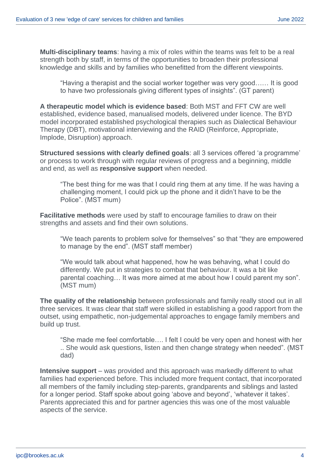**Multi-disciplinary teams**: having a mix of roles within the teams was felt to be a real strength both by staff, in terms of the opportunities to broaden their professional knowledge and skills and by families who benefitted from the different viewpoints.

"Having a therapist and the social worker together was very good…… It is good to have two professionals giving different types of insights". (GT parent)

**A therapeutic model which is evidence based**: Both MST and FFT CW are well established, evidence based, manualised models, delivered under licence. The BYD model incorporated established psychological therapies such as Dialectical Behaviour Therapy (DBT), motivational interviewing and the RAID (Reinforce, Appropriate, Implode, Disruption) approach.

**Structured sessions with clearly defined goals**: all 3 services offered 'a programme' or process to work through with regular reviews of progress and a beginning, middle and end, as well as **responsive support** when needed.

"The best thing for me was that I could ring them at any time. If he was having a challenging moment, I could pick up the phone and it didn't have to be the Police". (MST mum)

**Facilitative methods** were used by staff to encourage families to draw on their strengths and assets and find their own solutions.

"We teach parents to problem solve for themselves" so that "they are empowered to manage by the end". (MST staff member)

"We would talk about what happened, how he was behaving, what I could do differently. We put in strategies to combat that behaviour. It was a bit like parental coaching… It was more aimed at me about how I could parent my son". (MST mum)

**The quality of the relationship** between professionals and family really stood out in all three services. It was clear that staff were skilled in establishing a good rapport from the outset, using empathetic, non-judgemental approaches to engage family members and build up trust.

"She made me feel comfortable…. I felt I could be very open and honest with her .. She would ask questions, listen and then change strategy when needed". (MST dad)

**Intensive support** – was provided and this approach was markedly different to what families had experienced before. This included more frequent contact, that incorporated all members of the family including step-parents, grandparents and siblings and lasted for a longer period. Staff spoke about going 'above and beyond', 'whatever it takes'. Parents appreciated this and for partner agencies this was one of the most valuable aspects of the service.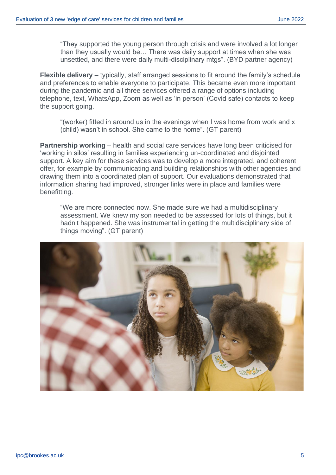"They supported the young person through crisis and were involved a lot longer than they usually would be… There was daily support at times when she was unsettled, and there were daily multi-disciplinary mtgs". (BYD partner agency)

**Flexible delivery** – typically, staff arranged sessions to fit around the family's schedule and preferences to enable everyone to participate. This became even more important during the pandemic and all three services offered a range of options including telephone, text, WhatsApp, Zoom as well as 'in person' (Covid safe) contacts to keep the support going.

"(worker) fitted in around us in the evenings when I was home from work and x (child) wasn't in school. She came to the home". (GT parent)

**Partnership working** – health and social care services have long been criticised for 'working in silos' resulting in families experiencing un-coordinated and disjointed support. A key aim for these services was to develop a more integrated, and coherent offer, for example by communicating and building relationships with other agencies and drawing them into a coordinated plan of support. Our evaluations demonstrated that information sharing had improved, stronger links were in place and families were benefitting.

"We are more connected now. She made sure we had a multidisciplinary assessment. We knew my son needed to be assessed for lots of things, but it hadn't happened. She was instrumental in getting the multidisciplinary side of things moving". (GT parent)

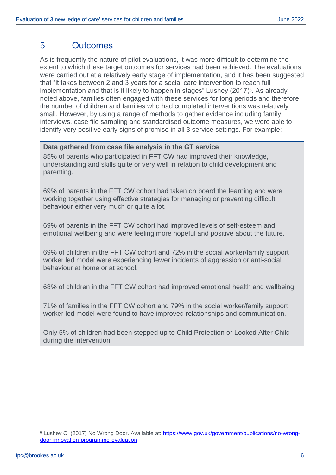#### 5 Outcomes

As is frequently the nature of pilot evaluations, it was more difficult to determine the extent to which these target outcomes for services had been achieved. The evaluations were carried out at a relatively early stage of implementation, and it has been suggested that "it takes between 2 and 3 years for a social care intervention to reach full implementation and that is it likely to happen in stages" Lushey (2017)6. As already noted above, families often engaged with these services for long periods and therefore the number of children and families who had completed interventions was relatively small. However, by using a range of methods to gather evidence including family interviews, case file sampling and standardised outcome measures, we were able to identify very positive early signs of promise in all 3 service settings. For example:

#### **Data gathered from case file analysis in the GT service**

85% of parents who participated in FFT CW had improved their knowledge, understanding and skills quite or very well in relation to child development and parenting.

69% of parents in the FFT CW cohort had taken on board the learning and were working together using effective strategies for managing or preventing difficult behaviour either very much or quite a lot.

69% of parents in the FFT CW cohort had improved levels of self-esteem and emotional wellbeing and were feeling more hopeful and positive about the future.

69% of children in the FFT CW cohort and 72% in the social worker/family support worker led model were experiencing fewer incidents of aggression or anti-social behaviour at home or at school.

68% of children in the FFT CW cohort had improved emotional health and wellbeing.

71% of families in the FFT CW cohort and 79% in the social worker/family support worker led model were found to have improved relationships and communication.

Only 5% of children had been stepped up to Child Protection or Looked After Child during the intervention.

<sup>&</sup>lt;sup>6</sup> Lushey C. (2017) No Wrong Door. Available at: [https://www.gov.uk/government/publications/no-wrong](https://www.gov.uk/government/publications/no-wrong-door-innovation-programme-evaluation)[door-innovation-programme-evaluation](https://www.gov.uk/government/publications/no-wrong-door-innovation-programme-evaluation)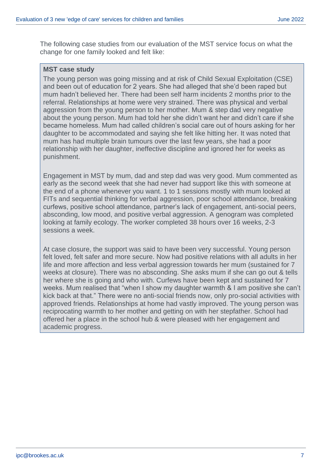The following case studies from our evaluation of the MST service focus on what the change for one family looked and felt like:

#### **MST case study**

The young person was going missing and at risk of Child Sexual Exploitation (CSE) and been out of education for 2 years. She had alleged that she'd been raped but mum hadn't believed her. There had been self harm incidents 2 months prior to the referral. Relationships at home were very strained. There was physical and verbal aggression from the young person to her mother. Mum & step dad very negative about the young person. Mum had told her she didn't want her and didn't care if she became homeless. Mum had called children's social care out of hours asking for her daughter to be accommodated and saying she felt like hitting her. It was noted that mum has had multiple brain tumours over the last few years, she had a poor relationship with her daughter, ineffective discipline and ignored her for weeks as punishment.

Engagement in MST by mum, dad and step dad was very good. Mum commented as early as the second week that she had never had support like this with someone at the end of a phone whenever you want. 1 to 1 sessions mostly with mum looked at FITs and sequential thinking for verbal aggression, poor school attendance, breaking curfews, positive school attendance, partner's lack of engagement, anti-social peers, absconding, low mood, and positive verbal aggression. A genogram was completed looking at family ecology. The worker completed 38 hours over 16 weeks, 2-3 sessions a week.

At case closure, the support was said to have been very successful. Young person felt loved, felt safer and more secure. Now had positive relations with all adults in her life and more affection and less verbal aggression towards her mum (sustained for 7 weeks at closure). There was no absconding. She asks mum if she can go out & tells her where she is going and who with. Curfews have been kept and sustained for 7 weeks. Mum realised that "when I show my daughter warmth & I am positive she can't kick back at that." There were no anti-social friends now, only pro-social activities with approved friends. Relationships at home had vastly improved. The young person was reciprocating warmth to her mother and getting on with her stepfather. School had offered her a place in the school hub & were pleased with her engagement and academic progress.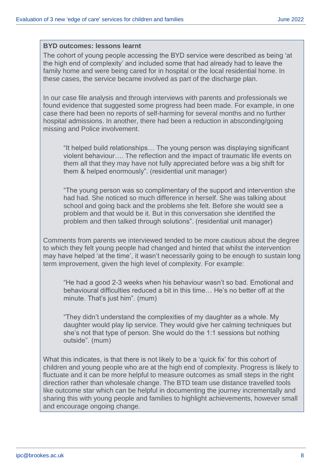#### **BYD outcomes: lessons learnt**

The cohort of young people accessing the BYD service were described as being 'at the high end of complexity' and included some that had already had to leave the family home and were being cared for in hospital or the local residential home. In these cases, the service became involved as part of the discharge plan.

In our case file analysis and through interviews with parents and professionals we found evidence that suggested some progress had been made. For example, in one case there had been no reports of self-harming for several months and no further hospital admissions. In another, there had been a reduction in absconding/going missing and Police involvement.

"It helped build relationships… The young person was displaying significant violent behaviour…. The reflection and the impact of traumatic life events on them all that they may have not fully appreciated before was a big shift for them & helped enormously". (residential unit manager)

"The young person was so complimentary of the support and intervention she had had. She noticed so much difference in herself. She was talking about school and going back and the problems she felt. Before she would see a problem and that would be it. But in this conversation she identified the problem and then talked through solutions". (residential unit manager)

Comments from parents we interviewed tended to be more cautious about the degree to which they felt young people had changed and hinted that whilst the intervention may have helped 'at the time', it wasn't necessarily going to be enough to sustain long term improvement, given the high level of complexity. For example:

"He had a good 2-3 weeks when his behaviour wasn't so bad. Emotional and behavioural difficulties reduced a bit in this time… He's no better off at the minute. That's just him". (mum)

"They didn't understand the complexities of my daughter as a whole. My daughter would play lip service. They would give her calming techniques but she's not that type of person. She would do the 1:1 sessions but nothing outside". (mum)

What this indicates, is that there is not likely to be a 'quick fix' for this cohort of children and young people who are at the high end of complexity. Progress is likely to fluctuate and it can be more helpful to measure outcomes as small steps in the right direction rather than wholesale change. The BTD team use distance travelled tools like outcome star which can be helpful in documenting the journey incrementally and sharing this with young people and families to highlight achievements, however small and encourage ongoing change.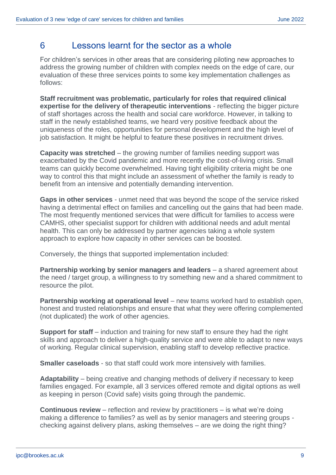#### 6 Lessons learnt for the sector as a whole

For children's services in other areas that are considering piloting new approaches to address the growing number of children with complex needs on the edge of care, our evaluation of these three services points to some key implementation challenges as follows:

**Staff recruitment was problematic, particularly for roles that required clinical expertise for the delivery of therapeutic interventions** - reflecting the bigger picture of staff shortages across the health and social care workforce. However, in talking to staff in the newly established teams, we heard very positive feedback about the uniqueness of the roles, opportunities for personal development and the high level of job satisfaction. It might be helpful to feature these positives in recruitment drives.

**Capacity was stretched** – the growing number of families needing support was exacerbated by the Covid pandemic and more recently the cost-of-living crisis. Small teams can quickly become overwhelmed. Having tight eligibility criteria might be one way to control this that might include an assessment of whether the family is ready to benefit from an intensive and potentially demanding intervention.

**Gaps in other services** - unmet need that was beyond the scope of the service risked having a detrimental effect on families and cancelling out the gains that had been made. The most frequently mentioned services that were difficult for families to access were CAMHS, other specialist support for children with additional needs and adult mental health. This can only be addressed by partner agencies taking a whole system approach to explore how capacity in other services can be boosted.

Conversely, the things that supported implementation included:

**Partnership working by senior managers and leaders** – a shared agreement about the need / target group, a willingness to try something new and a shared commitment to resource the pilot.

**Partnership working at operational level** – new teams worked hard to establish open, honest and trusted relationships and ensure that what they were offering complemented (not duplicated) the work of other agencies.

**Support for staff** – induction and training for new staff to ensure they had the right skills and approach to deliver a high-quality service and were able to adapt to new ways of working. Regular clinical supervision, enabling staff to develop reflective practice.

**Smaller caseloads** - so that staff could work more intensively with families.

**Adaptability** – being creative and changing methods of delivery if necessary to keep families engaged. For example, all 3 services offered remote and digital options as well as keeping in person (Covid safe) visits going through the pandemic.

**Continuous review** – reflection and review by practitioners – is what we're doing making a difference to families? as well as by senior managers and steering groups checking against delivery plans, asking themselves – are we doing the right thing?